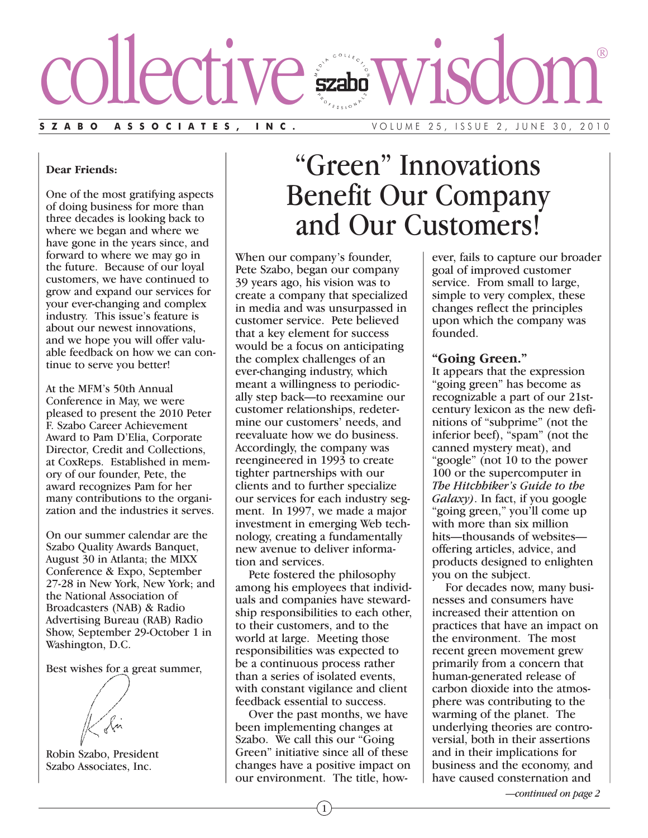

#### **Dear Friends:**

One of the most gratifying aspects of doing business for more than three decades is looking back to where we began and where we have gone in the years since, and forward to where we may go in the future. Because of our loyal customers, we have continued to grow and expand our services for your ever-changing and complex industry. This issue's feature is about our newest innovations, and we hope you will offer valuable feedback on how we can continue to serve you better!

At the MFM's 50th Annual Conference in May, we were pleased to present the 2010 Peter F. Szabo Career Achievement Award to Pam D'Elia, Corporate Director, Credit and Collections, at CoxReps. Established in memory of our founder, Pete, the award recognizes Pam for her many contributions to the organization and the industries it serves.

On our summer calendar are the Szabo Quality Awards Banquet, August 30 in Atlanta; the MIXX Conference & Expo, September 27-28 in New York, New York; and the National Association of Broadcasters (NAB) & Radio Advertising Bureau (RAB) Radio Show, September 29-October 1 in Washington, D.C.

Best wishes for a great summer,

## Robin Szabo, President Szabo Associates, Inc.

# "Green" Innovations Benefit Our Company and Our Customers!

When our company's founder, Pete Szabo, began our company 39 years ago, his vision was to create a company that specialized in media and was unsurpassed in customer service. Pete believed that a key element for success would be a focus on anticipating the complex challenges of an ever-changing industry, which meant a willingness to periodically step back—to reexamine our customer relationships, redetermine our customers' needs, and reevaluate how we do business. Accordingly, the company was reengineered in 1993 to create tighter partnerships with our clients and to further specialize our services for each industry segment. In 1997, we made a major investment in emerging Web technology, creating a fundamentally new avenue to deliver information and services.

Pete fostered the philosophy among his employees that individuals and companies have stewardship responsibilities to each other, to their customers, and to the world at large. Meeting those responsibilities was expected to be a continuous process rather than a series of isolated events, with constant vigilance and client feedback essential to success.

Over the past months, we have been implementing changes at Szabo. We call this our "Going Green" initiative since all of these changes have a positive impact on our environment. The title, how-

### ever, fails to capture our broader goal of improved customer service. From small to large, simple to very complex, these changes reflect the principles upon which the company was founded.

### **"Going Green."**

It appears that the expression "going green" has become as recognizable a part of our 21stcentury lexicon as the new definitions of "subprime" (not the inferior beef), "spam" (not the canned mystery meat), and "google" (not 10 to the power 100 or the supercomputer in *The Hitchhiker's Guide to the Galaxy)*. In fact, if you google "going green," you'll come up with more than six million hits—thousands of websites offering articles, advice, and products designed to enlighten you on the subject.

For decades now, many businesses and consumers have increased their attention on practices that have an impact on the environment. The most recent green movement grew primarily from a concern that human-generated release of carbon dioxide into the atmosphere was contributing to the warming of the planet. The underlying theories are controversial, both in their assertions and in their implications for business and the economy, and have caused consternation and

*—continued on page 2*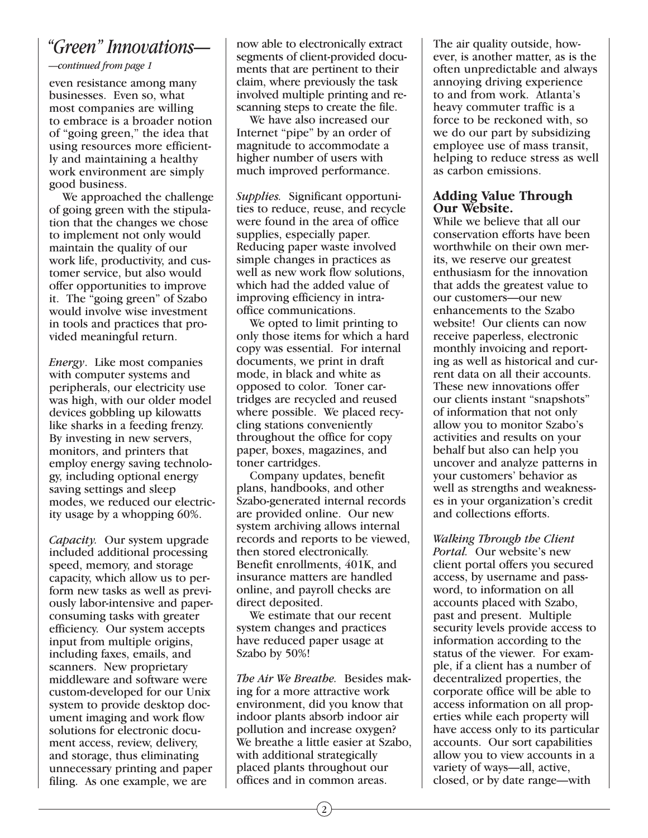# *"Green" Innovations—*

*—continued from page 1*

even resistance among many businesses. Even so, what most companies are willing to embrace is a broader notion of "going green," the idea that using resources more efficiently and maintaining a healthy work environment are simply good business.

We approached the challenge of going green with the stipulation that the changes we chose to implement not only would maintain the quality of our work life, productivity, and customer service, but also would offer opportunities to improve it. The "going green" of Szabo would involve wise investment in tools and practices that provided meaningful return.

*Energy*. Like most companies with computer systems and peripherals, our electricity use was high, with our older model devices gobbling up kilowatts like sharks in a feeding frenzy. By investing in new servers, monitors, and printers that employ energy saving technology, including optional energy saving settings and sleep modes, we reduced our electricity usage by a whopping 60%.

*Capacity.* Our system upgrade included additional processing speed, memory, and storage capacity, which allow us to perform new tasks as well as previously labor-intensive and paperconsuming tasks with greater efficiency. Our system accepts input from multiple origins, including faxes, emails, and scanners. New proprietary middleware and software were custom-developed for our Unix system to provide desktop document imaging and work flow solutions for electronic document access, review, delivery, and storage, thus eliminating unnecessary printing and paper filing. As one example, we are

now able to electronically extract segments of client-provided documents that are pertinent to their claim, where previously the task involved multiple printing and rescanning steps to create the file.

We have also increased our Internet "pipe" by an order of magnitude to accommodate a higher number of users with much improved performance.

*Supplies.* Significant opportunities to reduce, reuse, and recycle were found in the area of office supplies, especially paper. Reducing paper waste involved simple changes in practices as well as new work flow solutions, which had the added value of improving efficiency in intraoffice communications.

We opted to limit printing to only those items for which a hard copy was essential. For internal documents, we print in draft mode, in black and white as opposed to color. Toner cartridges are recycled and reused where possible. We placed recycling stations conveniently throughout the office for copy paper, boxes, magazines, and toner cartridges.

Company updates, benefit plans, handbooks, and other Szabo-generated internal records are provided online. Our new system archiving allows internal records and reports to be viewed, then stored electronically. Benefit enrollments, 401K, and insurance matters are handled online, and payroll checks are direct deposited.

We estimate that our recent system changes and practices have reduced paper usage at Szabo by 50%!

*The Air We Breathe.* Besides making for a more attractive work environment, did you know that indoor plants absorb indoor air pollution and increase oxygen? We breathe a little easier at Szabo, with additional strategically placed plants throughout our offices and in common areas.

The air quality outside, however, is another matter, as is the often unpredictable and always annoying driving experience to and from work. Atlanta's heavy commuter traffic is a force to be reckoned with, so we do our part by subsidizing employee use of mass transit, helping to reduce stress as well as carbon emissions.

# **Adding Value Through Our Website.**

While we believe that all our conservation efforts have been worthwhile on their own merits, we reserve our greatest enthusiasm for the innovation that adds the greatest value to our customers—our new enhancements to the Szabo website! Our clients can now receive paperless, electronic monthly invoicing and reporting as well as historical and current data on all their accounts. These new innovations offer our clients instant "snapshots" of information that not only allow you to monitor Szabo's activities and results on your behalf but also can help you uncover and analyze patterns in your customers' behavior as well as strengths and weaknesses in your organization's credit and collections efforts.

*Walking Through the Client Portal.* Our website's new client portal offers you secured access, by username and password, to information on all accounts placed with Szabo, past and present. Multiple security levels provide access to information according to the status of the viewer. For example, if a client has a number of decentralized properties, the corporate office will be able to access information on all properties while each property will have access only to its particular accounts. Our sort capabilities allow you to view accounts in a variety of ways—all, active, closed, or by date range—with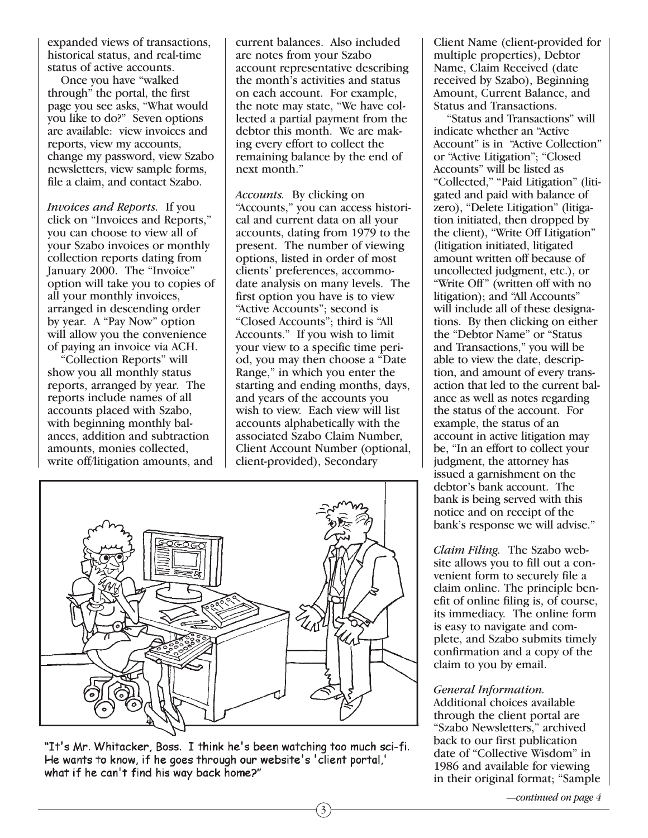expanded views of transactions, historical status, and real-time status of active accounts.

Once you have "walked through" the portal, the first page you see asks, "What would you like to do?" Seven options are available: view invoices and reports, view my accounts, change my password, view Szabo newsletters, view sample forms, file a claim, and contact Szabo.

*Invoices and Reports.* If you click on "Invoices and Reports," you can choose to view all of your Szabo invoices or monthly collection reports dating from January 2000. The "Invoice" option will take you to copies of all your monthly invoices, arranged in descending order by year. A "Pay Now" option will allow you the convenience of paying an invoice via ACH.

"Collection Reports" will show you all monthly status reports, arranged by year. The reports include names of all accounts placed with Szabo, with beginning monthly balances, addition and subtraction amounts, monies collected, write off/litigation amounts, and current balances. Also included are notes from your Szabo account representative describing the month's activities and status on each account. For example, the note may state, "We have collected a partial payment from the debtor this month. We are making every effort to collect the remaining balance by the end of next month."

*Accounts.* By clicking on "Accounts," you can access historical and current data on all your accounts, dating from 1979 to the present. The number of viewing options, listed in order of most clients' preferences, accommodate analysis on many levels. The first option you have is to view "Active Accounts"; second is "Closed Accounts"; third is "All Accounts." If you wish to limit your view to a specific time period, you may then choose a "Date Range," in which you enter the starting and ending months, days, and years of the accounts you wish to view. Each view will list accounts alphabetically with the associated Szabo Claim Number, Client Account Number (optional, client-provided), Secondary

3



"It's Mr. Whitacker, Boss. I think he's been watching too much sci-fi. He wants to know, if he goes through our website's 'client portal,' what if he can't find his way back home?"

Client Name (client-provided for multiple properties), Debtor Name, Claim Received (date received by Szabo), Beginning Amount, Current Balance, and Status and Transactions.

"Status and Transactions" will indicate whether an "Active Account" is in "Active Collection" or "Active Litigation"; "Closed Accounts" will be listed as "Collected," "Paid Litigation" (litigated and paid with balance of zero), "Delete Litigation" (litigation initiated, then dropped by the client), "Write Off Litigation" (litigation initiated, litigated amount written off because of uncollected judgment, etc.), or "Write Off" (written off with no litigation); and "All Accounts" will include all of these designations. By then clicking on either the "Debtor Name" or "Status and Transactions," you will be able to view the date, description, and amount of every transaction that led to the current balance as well as notes regarding the status of the account. For example, the status of an account in active litigation may be, "In an effort to collect your judgment, the attorney has issued a garnishment on the debtor's bank account. The bank is being served with this notice and on receipt of the bank's response we will advise."

*Claim Filing.* The Szabo website allows you to fill out a convenient form to securely file a claim online. The principle benefit of online filing is, of course, its immediacy. The online form is easy to navigate and complete, and Szabo submits timely confirmation and a copy of the claim to you by email.

# *General Information.*

Additional choices available through the client portal are "Szabo Newsletters," archived back to our first publication date of "Collective Wisdom" in 1986 and available for viewing in their original format; "Sample